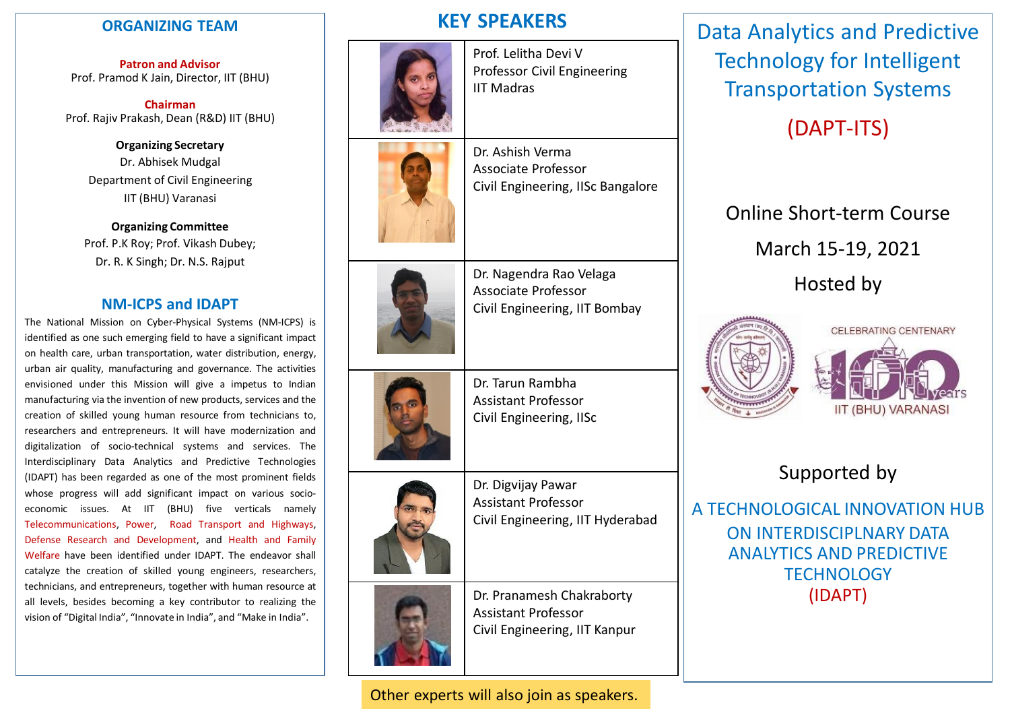# **ORGANIZING TEAM**

**Patron and Advisor** Prof. Pramod K Jain, Director, IIT (BHU)

**Chairman** Prof. Rajiv Prakash, Dean (R&D) IIT (BHU)

> **Organizing Secretary** Dr. Abhisek Mudgal Department of Civil Engineering IIT (BHU) Varanasi

**Organizing Committee** Prof. P.K Roy; Prof. Vikash Dubey; Dr. R. K Singh; Dr. N.S. Rajput

# **NM-ICPS and IDAPT**

The National Mission on Cyber-Physical Systems (NM-ICPS) is identified as one such emerging field to have a significant impact on health care, urban transportation, water distribution, energy, urban air quality, manufacturing and governance. The activities envisioned under this Mission will give a impetus to Indian manufacturing via the invention of new products, services and the creation of skilled young human resource from technicians to, researchers and entrepreneurs. It will have modernization and digitalization of socio-technical systems and services. The Interdisciplinary Data Analytics and Predictive Technologies (IDAPT) has been regarded as one of the most prominent fields whose progress will add significant impact on various socioeconomic issues. At IIT (BHU) five verticals namely Telecommunications, Power, Road Transport and Highways, Defense Research and Development, and Health and Family Welfare have been identified under IDAPT. The endeavor shall catalyze the creation of skilled young engineers, researchers, technicians, and entrepreneurs, together with human resource at all levels, besides becoming a key contributor to realizing the vision of "Digital India", "Innovate in India", and "Make in India".





Prof. Lelitha Devi V Professor Civil Engineering IIT Madras

Dr. Ashish Verma Associate Professor Civil Engineering, IISc Bangalore

Dr. Nagendra Rao Velaga Associate Professor Civil Engineering, IIT Bombay

Dr. Tarun Rambha Assistant Professor Civil Engineering, IISc

> Dr. Digvijay Pawar Assistant Professor





Civil Engineering, IIT Hyderabad Dr. Pranamesh Chakraborty

Assistant Professor Civil Engineering, IIT Kanpur

Other experts will also join as speakers.

Data Analytics and Predictive Technology for Intelligent Transportation Systems

(DAPT-ITS)

# Online Short-term Course

March 15-19, 2021

Hosted by





# Supported by

A TECHNOLOGICAL INNOVATION HUB ON INTERDISCIPI NARY DATA ANALYTICS AND PREDICTIVE TECHNOLOGY (IDAPT)